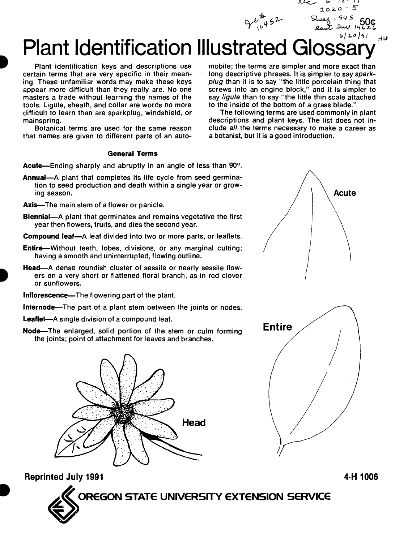*J^*

## ma 19626<br>6/20/9/<br><sup>6/20/9/</sup> HN Plant Identification Illustrated Glos

Plant identification keys and descriptions use certain terms that are very specific in their meaning. These unfamiliar words may make these keys appear more difficult than they really are. No one masters a trade without learning the names of the tools. Ligule, sheath, and collar are words no more difficult to learn than are sparkplug, windshield, or mainspring.

Botanical terms are used for the same reason that names are given to different parts of an auto-

## **General Terms**

**Acute**—Ending sharply and abruptly in an angle of less than 90°.

- **Annual**—A plant that completes its life cycle from seed germination to seed production and death within a single year or growing season.
- **Axis**—The main stem of a flower or panicle.
- **Biennial**—A plant that germinates and remains vegetative the first year then flowers, fruits, and dies the second year.
- **Compound leaf**—A leaf divided into two or more parts, or leaflets.
- **Entire**—Without teeth, lobes, divisions, or any marginal cutting; having a smooth and uninterrupted, flowing outline.
- **Head**—A dense roundish cluster of sessile or nearly sessile flowers on a very short or flattened floral branch, as in red clover or sunflowers.
- **Inflorescence**—The flowering part of the plant.
- **Internode**—The part of a plant stem between the joints or nodes.
- **Leaflet**—A single division of a compound leaf.
- **Node**—The enlarged, solid portion of the stem or culm forming the joints; point of attachment for leaves and branches.



mobile; the terms are simpler and more exact than long descriptive phrases. It is simpler to say *sparkplug* than it is to say "the little porcelain thing that screws into an engine block," and it is simpler to say *ligule* than to say "the little thin scale attached to the inside of the bottom of a grass blade."

ريمقا

-18-11  $2020 - 5$ 

The following terms are used commonly in plant descriptions and plant keys. The list does not include *all* the terms necessary to make a career as a botanist, but it is a good introduction.





**Reprinted July 1991 4-H 1006**

**OREGON STATE UNIVERSITY EXTENSION SERVICE**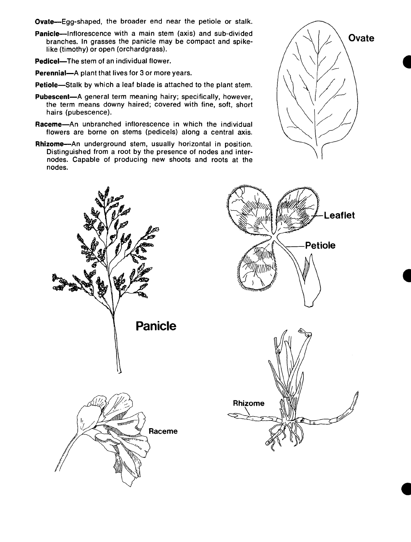- **Ovate**—Egg-shaped, the broader end near the petiole or stalk.
- **Panicle**—Inflorescence with a main stem (axis) and sub-divided branches. In grasses the panicle may be compact and spikelike (timothy) or open (orchardgrass).
- **Pedicel**—The stem of an individual flower.
- **Perennial**—A plant that lives for 3 or more years.
- **Petiole**—Stalk by which a leaf blade is attached to the plant stem.
- **Pubescent**—A general term meaning hairy; specifically, however, the term means downy haired; covered with fine, soft, short hairs (pubescence).
- **Raceme**—An unbranched inflorescence in which the individual flowers are borne on stems (pedicels) along a central axis.
- **Rhizome**—An underground stem, usually horizontal in position. Distinguished from a root by the presence of nodes and internodes. Capable of producing new shoots and roots at the nodes.



**Leaflet**

**Petiole**

て

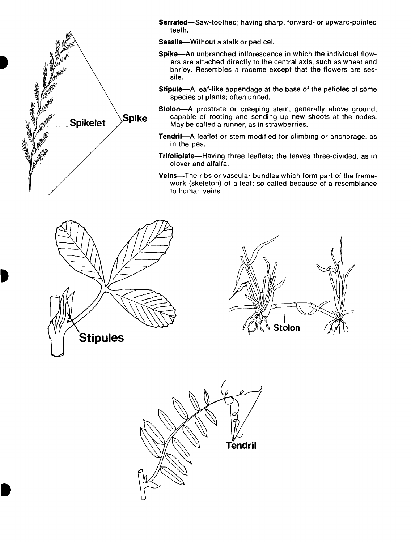

**Serrated**—Saw-toothed; having sharp, forward- or upward-pointed teeth.

**Sessile**—Without a stalk or pedicel.

- **Spike**—An unbranched inflorescence in which the individual flowers are attached directly to the central axis, such as wheat and barley. Resembles a raceme except that the flowers are sessile.
- **Stipule**—A leaf-like appendage at the base of the petioles of some species of plants; often united.
- **Stolon**—A prostrate or creeping stem, generally above ground, capable of rooting and sending up new shoots at the nodes. May be called a runner, as in strawberries.
- **Tendril**—A leaflet or stem modified for climbing or anchorage, as in the pea.
- **Trifoliolate**—Having three leaflets; the leaves three-divided, as in clover and alfalfa.
- **Veins**—The ribs or vascular bundles which form part of the framework (skeleton) of a leaf; so called because of a resemblance to human veins.